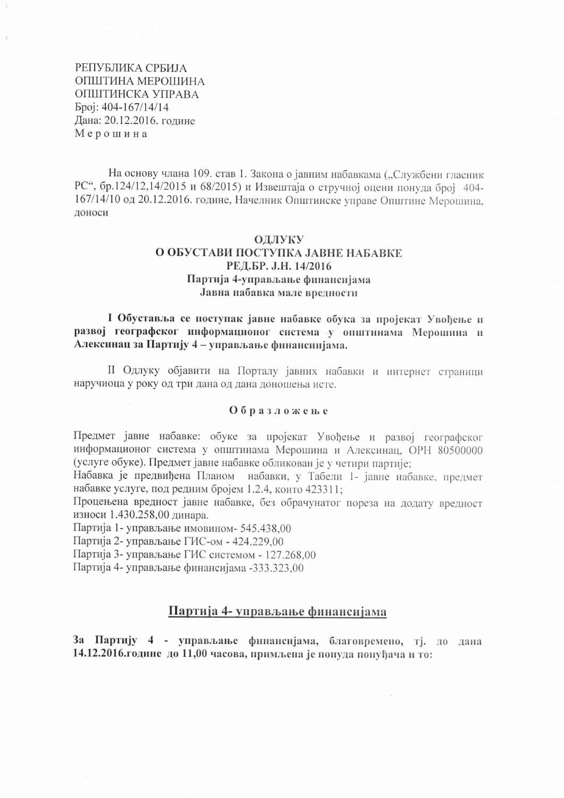РЕПУБЛИКА СРБИЈА ОПШТИНА МЕРОШИНА ОПШТИНСКА УПРАВА Spoj: 404-167/14/14 Дана: 20.12.2016. године Мерошина

На основу члана 109. став 1. Закона о јавним набавкама ("Службени гласник РС", бр.124/12,14/2015 и 68/2015) и Извештаја о стручној оцени понуда број 404-167/14/10 од 20.12.2016. године, Начелник Општинске управе Општине Мерошина, доноси

### ОДЛУКУ О ОБУСТАВИ ПОСТУПКА ЈАВНЕ НАБАВКЕ РЕЛ.БР. Ј.Н. 14/2016 Партија 4-управљање финансијама Јавна набавка мале вредности

I Обуставља се поступак јавне набавке обука за пројекат Увођење и развој географског информационог система у општинама Мерошина и Алексинац за Партију 4 - управљање финансиијама.

II Одлуку објавити на Порталу јавних набавки и интернет страници наручиоца у року од три дана од дана доношења исте.

#### Образложење

Предмет јавне набавке: обуке за пројекат Увођење и развој географског информационог система у општинама Мерошина и Алексинац, ОРН 80500000 (услуге обуке). Предмет јавне набавке обликован је у четири партије;

Набавка је предвиђена Планом набавки, у Табели 1- јавне набавке, предмет набавке услуге, под редним бројем 1.2.4, конто 423311;

Процењена вредност јавне набавке, без обрачунатог пореза на додату вредност износи 1.430.258,00 динара.

Партија 1- управљање имовином- 545.438.00

Партија 2- управљање ГИС-ом - 424.229,00

Партија 3- управљање ГИС системом - 127.268,00

Партија 4- управљање финансијама -333.323.00

#### Партија 4- управљање финансијама

За Партију 4 - управљање финансијама, благовремено, тј. до дана 14.12.2016. године до 11,00 часова, примљена је понуда понуђача и то: